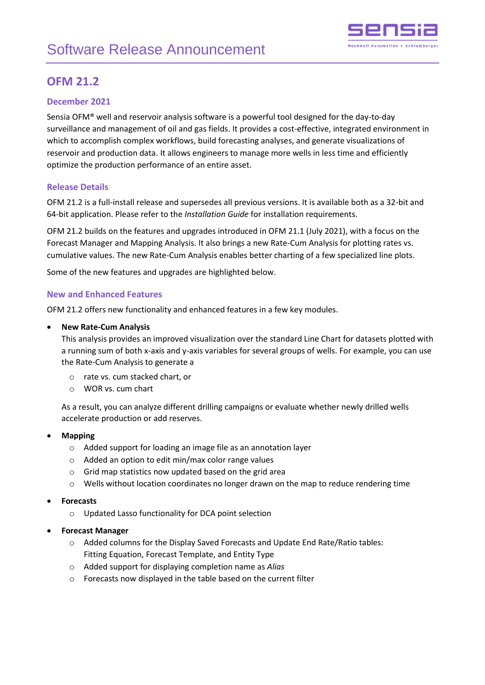

# **OFM 21.2**

# **December 2021**

Sensia OFM® well and reservoir analysis software is a powerful tool designed for the day-to-day surveillance and management of oil and gas fields. It provides a cost-effective, integrated environment in which to accomplish complex workflows, build forecasting analyses, and generate visualizations of reservoir and production data. It allows engineers to manage more wells in less time and efficiently optimize the production performance of an entire asset.

# **Release Details**

OFM 21.2 is a full-install release and supersedes all previous versions. It is available both as a 32-bit and 64-bit application. Please refer to the *Installation Guide* for installation requirements.

OFM 21.2 builds on the features and upgrades introduced in OFM 21.1 (July 2021), with a focus on the Forecast Manager and Mapping Analysis. It also brings a new Rate-Cum Analysis for plotting rates vs. cumulative values. The new Rate-Cum Analysis enables better charting of a few specialized line plots.

Some of the new features and upgrades are highlighted below.

## **New and Enhanced Features**

OFM 21.2 offers new functionality and enhanced features in a few key modules.

#### • **New Rate-Cum Analysis**

This analysis provides an improved visualization over the standard Line Chart for datasets plotted with a running sum of both x-axis and y-axis variables for several groups of wells. For example, you can use the Rate-Cum Analysis to generate a

- o rate vs. cum stacked chart, or
- o WOR vs. cum chart

As a result, you can analyze different drilling campaigns or evaluate whether newly drilled wells accelerate production or add reserves.

#### • **Mapping**

- o Added support for loading an image file as an annotation layer
- o Added an option to edit min/max color range values
- o Grid map statistics now updated based on the grid area
- o Wells without location coordinates no longer drawn on the map to reduce rendering time

#### • **Forecasts**

- o Updated Lasso functionality for DCA point selection
- **Forecast Manager**
	- $\circ$  Added columns for the Display Saved Forecasts and Update End Rate/Ratio tables: Fitting Equation, Forecast Template, and Entity Type
	- o Added support for displaying completion name as *Alias*
	- o Forecasts now displayed in the table based on the current filter